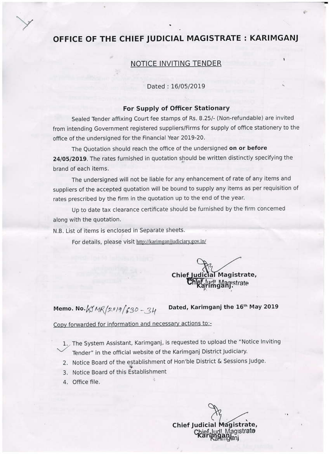# OFFICE OF THE CHIEF JUDICIAL MAGISTRATE: KARIMGANJ

### **NOTICE INVITING TENDER**

#### Dated: 16/05/2019

#### For Supply of Officer Stationary

Sealed Tender affixing Court fee stamps of Rs. 8.25/- (Non-refundable) are invited from intending Government registered suppliers/Firms for supply of office stationery to the office of the undersigned for the Financial Year 2019-20.

The Quotation should reach the office of the undersigned on or before 24/05/2019. The rates furnished in quotation should be written distinctly specifying the brand of each items.

The undersigned will not be liable for any enhancement of rate of any items and suppliers of the accepted quotation will be bound to supply any items as per requisition of rates prescribed by the firm in the quotation up to the end of the year.

Up to date tax clearance certificate should be furnished by the firm concerned along with the quotation.

N.B. List of items is enclosed in Separate sheets.

For details, please visit http://karimganjjudiciary.gov.in/

al Magistrate, Chief I

Memo. No.  $15MR/2919/630-34$ 

Dated, Karimganj the 16th May 2019

Copy forwarded for information and necessary actions to:-

1. The System Assistant, Karimganj, is requested to upload the "Notice Inviting Tender" in the official website of the Karimganj District Judiciary.

- 2. Notice Board of the establishment of Hon'ble District & Sessions Judge.
- 3. Notice Board of this Establishment
- 4. Office file.

Chief Judicial Magistrate, Magistrato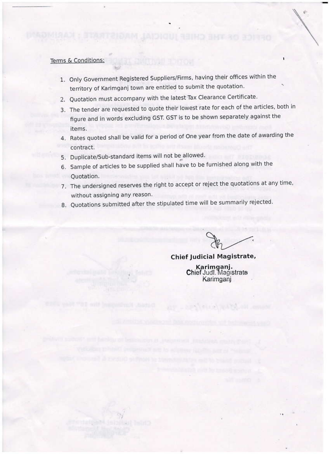## Terms & Conditions:

- 1. Only Government Registered Suppliers/Firms, having their offices within the territory of Karimganj town are entitled to submit the quotation.
- 2. Quotation must accompany with the latest Tax Clearance Certificate.
- 3. The tender are requested to quote their lowest rate for each of the articles, both in figure and in words excluding GST. GST is to be shown separately against the items.
- 4. Rates quoted shall be valid for a period of One year from the date of awarding the contract.
- 5. Duplicate/Sub-standard items will not be allowed.

**REPORT FOR** 

- 6. Sample of articles to be supplied shall have to be furnished along with the Ouotation.
- 7. The undersigned reserves the right to accept or reject the quotations at any time, without assigning any reason.
- 8. Quotations submitted after the stipulated time will be summarily rejected.

# Chief Judicial Magistrate,

Karimganj.<br>Chief Judi. Magistrate Karimganj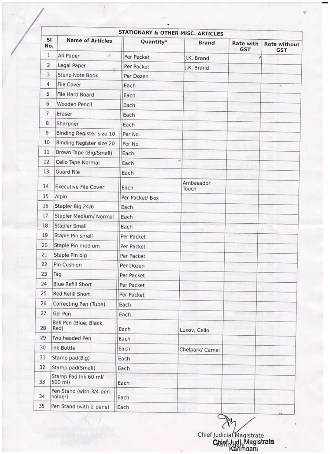|                         |                                    | <b>STATIONARY &amp; OTHER MISC. ARTICLES</b> |                    |                         |                                   |
|-------------------------|------------------------------------|----------------------------------------------|--------------------|-------------------------|-----------------------------------|
| <b>SI</b><br>No.        | <b>Name of Articles</b>            | Quantity*                                    | <b>Brand</b>       | Rate with<br><b>GST</b> | <b>Rate without</b><br><b>GST</b> |
| 1                       | A4 Paper                           | Per Packet                                   | J.K. Brand         |                         |                                   |
| $\overline{\mathbf{c}}$ | Legal Paper                        | Per Packet                                   | J.K. Brand         |                         |                                   |
| 3                       | Steno Note Book                    | Per Dozen                                    |                    |                         |                                   |
| 4                       | File Cover                         | Each                                         |                    |                         | ×                                 |
| 5                       | File Hard Board                    | Each                                         |                    |                         |                                   |
| 6                       | Wooden Pencil                      | Each                                         |                    |                         |                                   |
| $\overline{7}$          | Eraser                             | Each                                         |                    |                         |                                   |
| 8                       | Sharpner                           | Each                                         |                    |                         |                                   |
| 9                       | Binding Register size 10           | Per No.                                      |                    |                         |                                   |
| 10                      | Binding Register size 20           | Per No.                                      |                    |                         |                                   |
| 11                      | Brown Tape (Big/Small)             | Each                                         |                    |                         |                                   |
| 12                      | Cello Tape Normal                  | Each                                         | ×                  |                         |                                   |
| 13                      | Guard File                         | Each                                         |                    |                         |                                   |
| 14                      | <b>Executive File Cover</b>        | Each                                         | Ambasador<br>Touch |                         |                                   |
| 15                      | Alpin                              | Per Packet/ Box                              |                    |                         |                                   |
| 16                      | Stapler Big 24/6                   | Each                                         |                    |                         |                                   |
| 17                      | Stapler Medium/ Normal             | Each                                         |                    |                         |                                   |
| 18                      | Stapler Small                      | Each                                         |                    |                         | m.                                |
| 19                      | Staple Pin small                   | Per Packet                                   | nsen               |                         |                                   |
| 20                      | Staple Pin medium                  | Per Packet                                   | たっぽ                | <u>ster men mit</u>     |                                   |
| 21                      | Staple Pin big                     | Per Packet                                   |                    |                         |                                   |
| 22                      | Pin Cushion                        | Per Dozen                                    |                    |                         |                                   |
| 23                      | Tag                                | Per Packet                                   |                    | a Tinggang              |                                   |
| 24                      | <b>Blue Refill Short</b>           | Per Packet                                   | <b>Figure</b>      |                         |                                   |
| 25                      | Red Refill Short                   | Per Packet                                   | <b>BSS</b>         | en populati             |                                   |
| 26                      | Correcting Pen (Tube)              | Each                                         | <b>BERTH</b>       | <b>Lighting A</b>       |                                   |
| 27                      | Gel Pen                            | Each                                         | <b>TI SAN</b>      |                         |                                   |
| 28                      | Ball Pen (Blue, Black,<br>Red)     | Each                                         | Luxov, Cello       |                         |                                   |
| 29                      | Two headed Pen                     | Each                                         |                    |                         |                                   |
| 30                      | Ink Bottle                         | Each                                         | Chelpark/ Camel    |                         |                                   |
| 31                      | Stamp pad(Big)                     | Each                                         |                    |                         |                                   |
| 32                      | Stamp pad(Small)                   | Each                                         |                    |                         |                                   |
| 33                      | Stamp Pad Ink 60 ml/<br>500 ml)    | Each                                         |                    |                         |                                   |
| 34                      | Pen Stand (with 3/4 pen<br>holder) | Each                                         |                    |                         |                                   |
| 35                      | Pen Stand (with 2 pens)            | Each                                         |                    |                         |                                   |

Chief Judicial Magistrate<br>Chief<sub>mudam</sub> Magistrate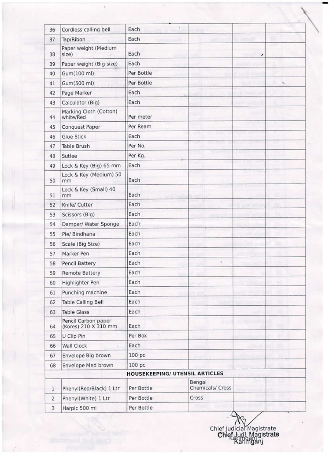| 36             | Cordiess calling bell                       | Each                                  |                            |   |  |
|----------------|---------------------------------------------|---------------------------------------|----------------------------|---|--|
| 37             | Tap/Ribon                                   | Each                                  |                            |   |  |
| 38             | Paper weight (Medium<br>size)               | Each                                  |                            | , |  |
| 39             | Paper weight (Big size)                     | Each                                  |                            |   |  |
| 40             | Gum(100 ml)                                 | Per Bottle                            |                            |   |  |
| 41             | Gum(500 ml)                                 | Per Bottle                            |                            |   |  |
| 42             | Page Marker                                 | Each                                  |                            |   |  |
| 43             | Calculator (Big)                            | Each                                  |                            |   |  |
| 44             | Marking Cloth (Cotton)<br>white/Red         | Per meter                             |                            |   |  |
| 45             | Conquest Paper                              | Per Ream                              |                            |   |  |
| 46             | <b>Glue Stick</b>                           | Each                                  |                            |   |  |
| 47             | Table Brush                                 | Per No.                               |                            |   |  |
| 48             | Sutlee                                      | Per Kg.                               |                            |   |  |
| 49             | Lock & Key (Big) 65 mm                      | Each                                  |                            |   |  |
| 50             | Lock & Key (Medium) 50<br>mm                | Each                                  |                            |   |  |
| 51             | Lock & Key (Small) 40<br>mm                 | Each                                  |                            |   |  |
| 52             | Knife/ Cutter                               | Each                                  |                            |   |  |
| 53             | Scissors (Big)                              | Each                                  |                            |   |  |
| 54             | Damper/ Water Sponge                        | Each                                  |                            |   |  |
| 55             | Pie/ Bindhana                               | Each                                  |                            |   |  |
| 56             | Scale (Big Size)                            | Each                                  |                            |   |  |
| 57             | Marker Pen                                  | Each                                  |                            |   |  |
| 58             | Pencil Battery                              | Each                                  |                            |   |  |
| 59             | Remote Battery                              | Each                                  |                            |   |  |
| 60             | Highlighter Pen                             | Each                                  |                            |   |  |
| 61             | Punching machine                            | Each                                  |                            |   |  |
| 62             | Table Calling Bell                          | Each                                  |                            |   |  |
| 63             | <b>Table Glass</b>                          | Each                                  |                            |   |  |
| 64             | Pencil Carbon paper<br>(Kores) 210 X 310 mm | Each                                  |                            |   |  |
| 65             | U Clip Pin                                  | Per Box                               |                            |   |  |
| 66             | Wall Clock                                  | Each                                  |                            |   |  |
| 67             | Envelope Big brown                          | 100 pc                                |                            |   |  |
| 68             | Envelope Med brown                          | 100 pc                                |                            |   |  |
|                |                                             | <b>HOUSEKEEPING/ UTENSIL ARTICLES</b> |                            |   |  |
| $\mathbf{1}$   | Phenyl(Red/Black) 1 Ltr                     | Per Bottle                            | Bengal<br>Chemicals/ Cross |   |  |
| $\overline{2}$ | Phenyl(White) 1 Ltr                         | Per Bottle                            | Cross                      |   |  |
| 3              | Harpic 500 ml                               | Per Bottle                            |                            |   |  |

Chief Judicial Magistrate<br>Chief Judi, Magistrate<br>Kaminganj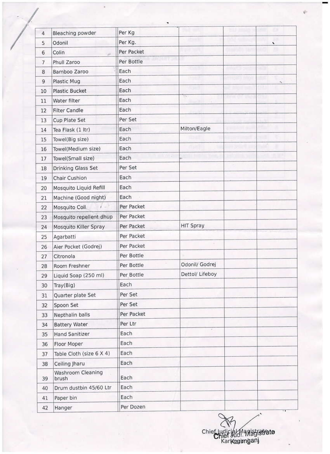| 4              | Bleaching powder           | Per Kg     |                 |    |
|----------------|----------------------------|------------|-----------------|----|
| 5              | Odonil                     | Per Kg.    |                 | ×. |
| 6              | Colin<br>is.               | Per Packet |                 |    |
| $\overline{7}$ | Phull Zaroo                | Per Bottle |                 |    |
| 8              | Bamboo Zaroo               | Each       |                 |    |
| 9              | Plastic Mug                | Each       |                 | ×. |
| 10             | <b>Plastic Bucket</b>      | Each       |                 |    |
| 11             | Water filter               | Each       | ÷,              |    |
| 12             | <b>Filter Candle</b>       | Each       |                 |    |
| 13             | Cup Plate Set              | Per Set    |                 |    |
| 14             | Tea Flask (1 ltr)          | Each       | Milton/Eagle    |    |
| 15             | Towel(Big size)            | Each       |                 |    |
| 16             | Towel(Medium size)         | Each       |                 |    |
| 17             | Towel(Small size)          | Each       |                 |    |
| 18             | Drinking Glass Set         | Per Set    |                 |    |
| 19             | Chair Cushion              | Each       |                 |    |
| 20             | Mosquito Liquid Refill     | Each       |                 |    |
| 21             | Machine (Good night)       | Each       |                 |    |
| 22             | Mosquito Coil              | Per Packet |                 |    |
| 23             | Mosquito repellent dhup    | Per Packet |                 |    |
| 24             | Mosquito Killer Spray      | Per Packet | HIT Spray       |    |
| 25             | Agarbatti                  | Per Packet |                 |    |
| 26             | Aier Pocket (Godrej)       | Per Packet |                 |    |
| 27             | Citronola                  | Per Bottle |                 |    |
| 28             | Room Freshner              | Per Bottle | Odonil/ Godrej  |    |
| 29             | Liquid Soap (250 ml)       | Per Bottle | Dettol/ Lifeboy |    |
| 30             | Tray(Big)                  | Each       |                 |    |
| 31             | Quarter plate Set          | Per Set    |                 |    |
| 32             | Spoon Set                  | Per Set    |                 |    |
| 33             | Nepthalin balls            | Per Packet |                 |    |
| 34             | <b>Battery Water</b>       | Per Ltr    |                 |    |
| 35             | Hand Sanitizer             | Each       |                 |    |
| 36             | Floor Moper                | Each       |                 |    |
| 37             | Table Cloth (size 6 X 4)   | Each       |                 |    |
| 38             | Ceiling Jharu              | Each       |                 |    |
| 39             | Washroom Cleaning<br>brush | Each       |                 |    |
| 40             | Drum dustbin 45/60 Ltr     | Each       |                 |    |
| 41             | Paper bin                  | Each       |                 |    |
| 42             | Hanger                     | Per Dozen  |                 |    |

Chief Iudicial Magistrate